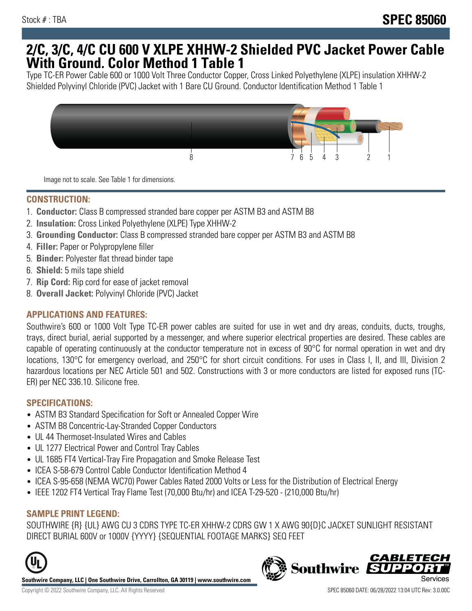## **2/C, 3/C, 4/C CU 600 V XLPE XHHW-2 Shielded PVC Jacket Power Cable With Ground. Color Method 1 Table 1**

Type TC-ER Power Cable 600 or 1000 Volt Three Conductor Copper, Cross Linked Polyethylene (XLPE) insulation XHHW-2 Shielded Polyvinyl Chloride (PVC) Jacket with 1 Bare CU Ground. Conductor Identification Method 1 Table 1



Image not to scale. See Table 1 for dimensions.

#### **CONSTRUCTION:**

- 1. **Conductor:** Class B compressed stranded bare copper per ASTM B3 and ASTM B8
- 2. **Insulation:** Cross Linked Polyethylene (XLPE) Type XHHW-2
- 3. **Grounding Conductor:** Class B compressed stranded bare copper per ASTM B3 and ASTM B8
- 4. **Filler:** Paper or Polypropylene filler
- 5. **Binder:** Polyester flat thread binder tape
- 6. **Shield:** 5 mils tape shield
- 7. **Rip Cord:** Rip cord for ease of jacket removal
- 8. **Overall Jacket:** Polyvinyl Chloride (PVC) Jacket

## **APPLICATIONS AND FEATURES:**

Southwire's 600 or 1000 Volt Type TC-ER power cables are suited for use in wet and dry areas, conduits, ducts, troughs, trays, direct burial, aerial supported by a messenger, and where superior electrical properties are desired. These cables are capable of operating continuously at the conductor temperature not in excess of 90°C for normal operation in wet and dry locations, 130°C for emergency overload, and 250°C for short circuit conditions. For uses in Class I, II, and III, Division 2 hazardous locations per NEC Article 501 and 502. Constructions with 3 or more conductors are listed for exposed runs (TC-ER) per NEC 336.10. Silicone free.

#### **SPECIFICATIONS:**

- ASTM B3 Standard Specification for Soft or Annealed Copper Wire
- ASTM B8 Concentric-Lay-Stranded Copper Conductors
- UL 44 Thermoset-Insulated Wires and Cables
- UL 1277 Electrical Power and Control Tray Cables
- UL 1685 FT4 Vertical-Tray Fire Propagation and Smoke Release Test
- ICEA S-58-679 Control Cable Conductor Identification Method 4
- ICEA S-95-658 (NEMA WC70) Power Cables Rated 2000 Volts or Less for the Distribution of Electrical Energy
- IEEE 1202 FT4 Vertical Tray Flame Test (70,000 Btu/hr) and ICEA T-29-520 (210,000 Btu/hr)

#### **SAMPLE PRINT LEGEND:**

SOUTHWIRE {R} {UL} AWG CU 3 CDRS TYPE TC-ER XHHW-2 CDRS GW 1 X AWG 90{D}C JACKET SUNLIGHT RESISTANT DIRECT BURIAL 600V or 1000V {YYYY} {SEQUENTIAL FOOTAGE MARKS} SEQ FEET



**Southwire Company, LLC | One Southwire Drive, Carrollton, GA 30119 | www.southwire.com**

Copyright © 2022 Southwire Company, LLC. All Rights Reserved SPEC 85060 DATE: 06/28/2022 13:04 UTC Rev: 3.0.00C